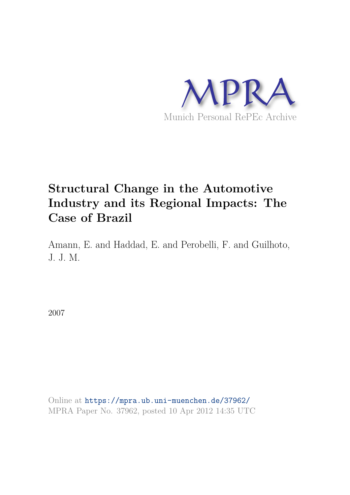

# **Structural Change in the Automotive Industry and its Regional Impacts: The Case of Brazil**

Amann, E. and Haddad, E. and Perobelli, F. and Guilhoto, J. J. M.

2007

Online at https://mpra.ub.uni-muenchen.de/37962/ MPRA Paper No. 37962, posted 10 Apr 2012 14:35 UTC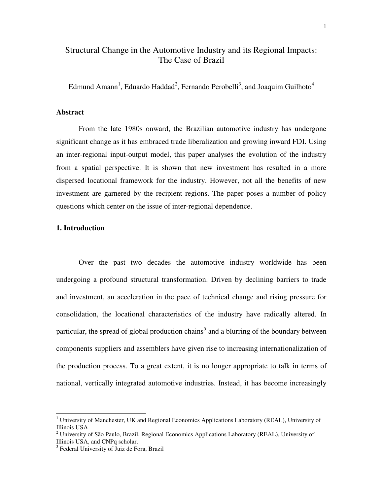# Structural Change in the Automotive Industry and its Regional Impacts: The Case of Brazil

Edmund Amann<sup>1</sup>, Eduardo Haddad<sup>2</sup>, Fernando Perobelli<sup>3</sup>, and Joaquim Guilhoto<sup>4</sup>

#### **Abstract**

From the late 1980s onward, the Brazilian automotive industry has undergone significant change as it has embraced trade liberalization and growing inward FDI. Using an inter-regional input-output model, this paper analyses the evolution of the industry from a spatial perspective. It is shown that new investment has resulted in a more dispersed locational framework for the industry. However, not all the benefits of new investment are garnered by the recipient regions. The paper poses a number of policy questions which center on the issue of inter-regional dependence.

## **1. Introduction**

 Over the past two decades the automotive industry worldwide has been undergoing a profound structural transformation. Driven by declining barriers to trade and investment, an acceleration in the pace of technical change and rising pressure for consolidation, the locational characteristics of the industry have radically altered. In particular, the spread of global production chains<sup>5</sup> and a blurring of the boundary between components suppliers and assemblers have given rise to increasing internationalization of the production process. To a great extent, it is no longer appropriate to talk in terms of national, vertically integrated automotive industries. Instead, it has become increasingly

<sup>&</sup>lt;sup>1</sup> University of Manchester, UK and Regional Economics Applications Laboratory (REAL), University of Illinois USA

<sup>&</sup>lt;sup>2</sup> University of São Paulo, Brazil, Regional Economics Applications Laboratory (REAL), University of Illinois USA, and CNPq scholar.

<sup>&</sup>lt;sup>3</sup> Federal University of Juiz de Fora, Brazil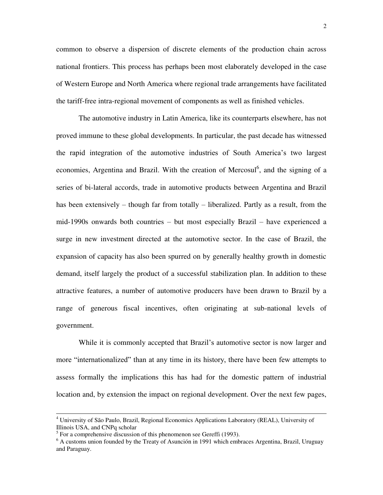common to observe a dispersion of discrete elements of the production chain across national frontiers. This process has perhaps been most elaborately developed in the case of Western Europe and North America where regional trade arrangements have facilitated the tariff-free intra-regional movement of components as well as finished vehicles.

 The automotive industry in Latin America, like its counterparts elsewhere, has not proved immune to these global developments. In particular, the past decade has witnessed the rapid integration of the automotive industries of South America's two largest economies, Argentina and Brazil. With the creation of Mercosul<sup>6</sup>, and the signing of a series of bi-lateral accords, trade in automotive products between Argentina and Brazil has been extensively – though far from totally – liberalized. Partly as a result, from the mid-1990s onwards both countries – but most especially Brazil – have experienced a surge in new investment directed at the automotive sector. In the case of Brazil, the expansion of capacity has also been spurred on by generally healthy growth in domestic demand, itself largely the product of a successful stabilization plan. In addition to these attractive features, a number of automotive producers have been drawn to Brazil by a range of generous fiscal incentives, often originating at sub-national levels of government.

 While it is commonly accepted that Brazil's automotive sector is now larger and more "internationalized" than at any time in its history, there have been few attempts to assess formally the implications this has had for the domestic pattern of industrial location and, by extension the impact on regional development. Over the next few pages,

 4 University of São Paulo, Brazil, Regional Economics Applications Laboratory (REAL), University of Illinois USA, and CNPq scholar

 $<sup>5</sup>$  For a comprehensive discussion of this phenomenon see Gereffi (1993).</sup>

<sup>&</sup>lt;sup>6</sup> A customs union founded by the Treaty of Asunción in 1991 which embraces Argentina, Brazil, Uruguay and Paraguay.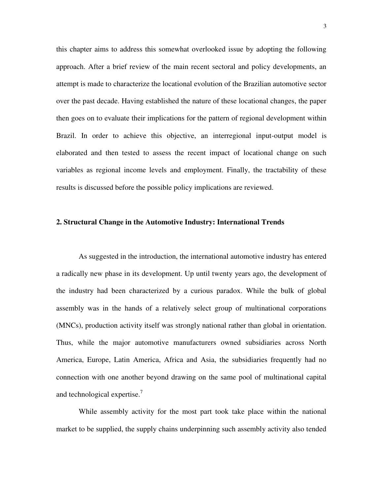this chapter aims to address this somewhat overlooked issue by adopting the following approach. After a brief review of the main recent sectoral and policy developments, an attempt is made to characterize the locational evolution of the Brazilian automotive sector over the past decade. Having established the nature of these locational changes, the paper then goes on to evaluate their implications for the pattern of regional development within Brazil. In order to achieve this objective, an interregional input-output model is elaborated and then tested to assess the recent impact of locational change on such variables as regional income levels and employment. Finally, the tractability of these results is discussed before the possible policy implications are reviewed.

#### **2. Structural Change in the Automotive Industry: International Trends**

 As suggested in the introduction, the international automotive industry has entered a radically new phase in its development. Up until twenty years ago, the development of the industry had been characterized by a curious paradox. While the bulk of global assembly was in the hands of a relatively select group of multinational corporations (MNCs), production activity itself was strongly national rather than global in orientation. Thus, while the major automotive manufacturers owned subsidiaries across North America, Europe, Latin America, Africa and Asia, the subsidiaries frequently had no connection with one another beyond drawing on the same pool of multinational capital and technological expertise. $<sup>7</sup>$ </sup>

 While assembly activity for the most part took take place within the national market to be supplied, the supply chains underpinning such assembly activity also tended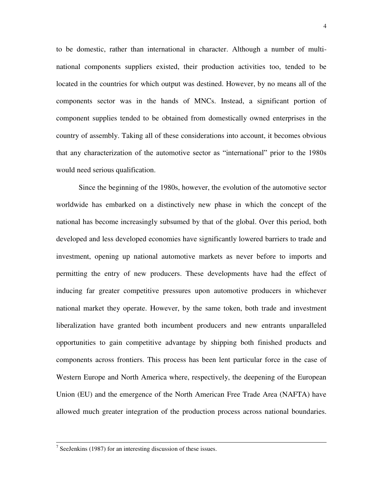to be domestic, rather than international in character. Although a number of multinational components suppliers existed, their production activities too, tended to be located in the countries for which output was destined. However, by no means all of the components sector was in the hands of MNCs. Instead, a significant portion of component supplies tended to be obtained from domestically owned enterprises in the country of assembly. Taking all of these considerations into account, it becomes obvious that any characterization of the automotive sector as "international" prior to the 1980s would need serious qualification.

 Since the beginning of the 1980s, however, the evolution of the automotive sector worldwide has embarked on a distinctively new phase in which the concept of the national has become increasingly subsumed by that of the global. Over this period, both developed and less developed economies have significantly lowered barriers to trade and investment, opening up national automotive markets as never before to imports and permitting the entry of new producers. These developments have had the effect of inducing far greater competitive pressures upon automotive producers in whichever national market they operate. However, by the same token, both trade and investment liberalization have granted both incumbent producers and new entrants unparalleled opportunities to gain competitive advantage by shipping both finished products and components across frontiers. This process has been lent particular force in the case of Western Europe and North America where, respectively, the deepening of the European Union (EU) and the emergence of the North American Free Trade Area (NAFTA) have allowed much greater integration of the production process across national boundaries.

 7 SeeJenkins (1987) for an interesting discussion of these issues.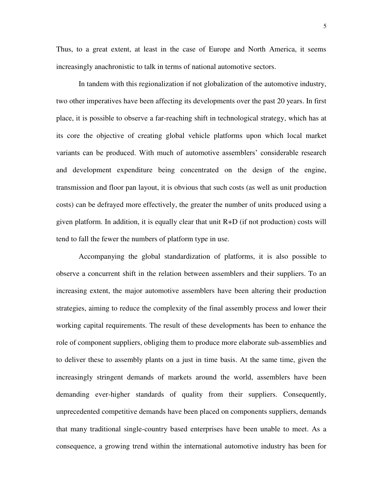Thus, to a great extent, at least in the case of Europe and North America, it seems increasingly anachronistic to talk in terms of national automotive sectors.

 In tandem with this regionalization if not globalization of the automotive industry, two other imperatives have been affecting its developments over the past 20 years. In first place, it is possible to observe a far-reaching shift in technological strategy, which has at its core the objective of creating global vehicle platforms upon which local market variants can be produced. With much of automotive assemblers' considerable research and development expenditure being concentrated on the design of the engine, transmission and floor pan layout, it is obvious that such costs (as well as unit production costs) can be defrayed more effectively, the greater the number of units produced using a given platform. In addition, it is equally clear that unit R+D (if not production) costs will tend to fall the fewer the numbers of platform type in use.

 Accompanying the global standardization of platforms, it is also possible to observe a concurrent shift in the relation between assemblers and their suppliers. To an increasing extent, the major automotive assemblers have been altering their production strategies, aiming to reduce the complexity of the final assembly process and lower their working capital requirements. The result of these developments has been to enhance the role of component suppliers, obliging them to produce more elaborate sub-assemblies and to deliver these to assembly plants on a just in time basis. At the same time, given the increasingly stringent demands of markets around the world, assemblers have been demanding ever-higher standards of quality from their suppliers. Consequently, unprecedented competitive demands have been placed on components suppliers, demands that many traditional single-country based enterprises have been unable to meet. As a consequence, a growing trend within the international automotive industry has been for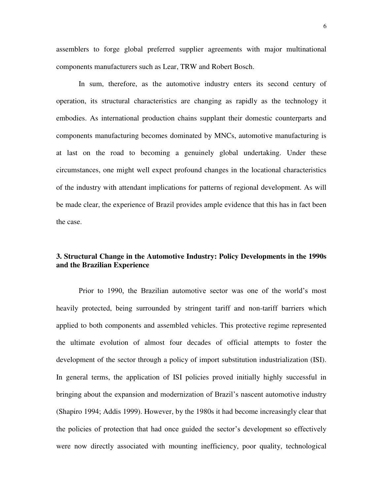assemblers to forge global preferred supplier agreements with major multinational components manufacturers such as Lear, TRW and Robert Bosch.

 In sum, therefore, as the automotive industry enters its second century of operation, its structural characteristics are changing as rapidly as the technology it embodies. As international production chains supplant their domestic counterparts and components manufacturing becomes dominated by MNCs, automotive manufacturing is at last on the road to becoming a genuinely global undertaking. Under these circumstances, one might well expect profound changes in the locational characteristics of the industry with attendant implications for patterns of regional development. As will be made clear, the experience of Brazil provides ample evidence that this has in fact been the case.

# **3. Structural Change in the Automotive Industry: Policy Developments in the 1990s and the Brazilian Experience**

Prior to 1990, the Brazilian automotive sector was one of the world's most heavily protected, being surrounded by stringent tariff and non-tariff barriers which applied to both components and assembled vehicles. This protective regime represented the ultimate evolution of almost four decades of official attempts to foster the development of the sector through a policy of import substitution industrialization (ISI). In general terms, the application of ISI policies proved initially highly successful in bringing about the expansion and modernization of Brazil's nascent automotive industry (Shapiro 1994; Addis 1999). However, by the 1980s it had become increasingly clear that the policies of protection that had once guided the sector's development so effectively were now directly associated with mounting inefficiency, poor quality, technological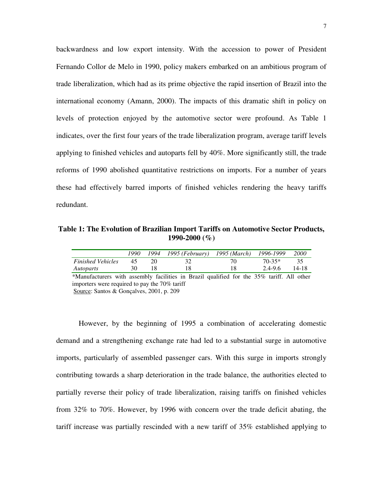backwardness and low export intensity. With the accession to power of President Fernando Collor de Melo in 1990, policy makers embarked on an ambitious program of trade liberalization, which had as its prime objective the rapid insertion of Brazil into the international economy (Amann, 2000). The impacts of this dramatic shift in policy on levels of protection enjoyed by the automotive sector were profound. As Table 1 indicates, over the first four years of the trade liberalization program, average tariff levels applying to finished vehicles and autoparts fell by 40%. More significantly still, the trade reforms of 1990 abolished quantitative restrictions on imports. For a number of years these had effectively barred imports of finished vehicles rendering the heavy tariffs redundant.

**Table 1: The Evolution of Brazilian Import Tariffs on Automotive Sector Products, 1990-2000 (%)** 

|                          | 1990 | 1994 - 1995 (February) - 1995 (March) - 1996-1999 |          | <i>2000</i> |
|--------------------------|------|---------------------------------------------------|----------|-------------|
| <b>Finished Vehicles</b> | 45   |                                                   | $70-35*$ |             |
| Autoparts                | 30   |                                                   | 2.4-9.6  | 14-18       |

\*Manufacturers with assembly facilities in Brazil qualified for the 35% tariff. All other importers were required to pay the 70% tariff Source: Santos & Gonçalves, 2001, p. 209

 However, by the beginning of 1995 a combination of accelerating domestic demand and a strengthening exchange rate had led to a substantial surge in automotive imports, particularly of assembled passenger cars. With this surge in imports strongly contributing towards a sharp deterioration in the trade balance, the authorities elected to partially reverse their policy of trade liberalization, raising tariffs on finished vehicles from 32% to 70%. However, by 1996 with concern over the trade deficit abating, the tariff increase was partially rescinded with a new tariff of 35% established applying to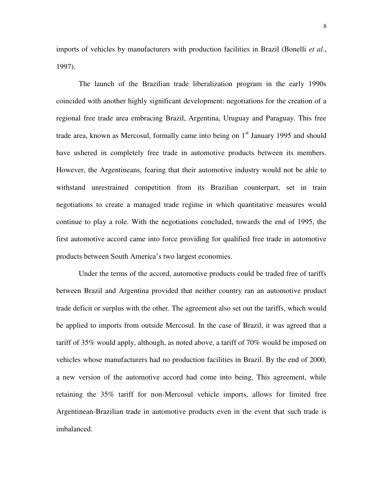imports of vehicles by manufacturers with production facilities in Brazil (Bonelli *et al*., 1997).

 The launch of the Brazilian trade liberalization program in the early 1990s coincided with another highly significant development: negotiations for the creation of a regional free trade area embracing Brazil, Argentina, Uruguay and Paraguay. This free trade area, known as Mercosul, formally came into being on  $1<sup>st</sup>$  January 1995 and should have ushered in completely free trade in automotive products between its members. However, the Argentineans, fearing that their automotive industry would not be able to withstand unrestrained competition from its Brazilian counterpart, set in train negotiations to create a managed trade regime in which quantitative measures would continue to play a role. With the negotiations concluded, towards the end of 1995, the first automotive accord came into force providing for qualified free trade in automotive products between South America's two largest economies.

 Under the terms of the accord, automotive products could be traded free of tariffs between Brazil and Argentina provided that neither country ran an automotive product trade deficit or surplus with the other. The agreement also set out the tariffs, which would be applied to imports from outside Mercosul. In the case of Brazil, it was agreed that a tariff of 35% would apply, although, as noted above, a tariff of 70% would be imposed on vehicles whose manufacturers had no production facilities in Brazil. By the end of 2000, a new version of the automotive accord had come into being. This agreement, while retaining the 35% tariff for non-Mercosul vehicle imports, allows for limited free Argentinean-Brazilian trade in automotive products even in the event that such trade is imbalanced.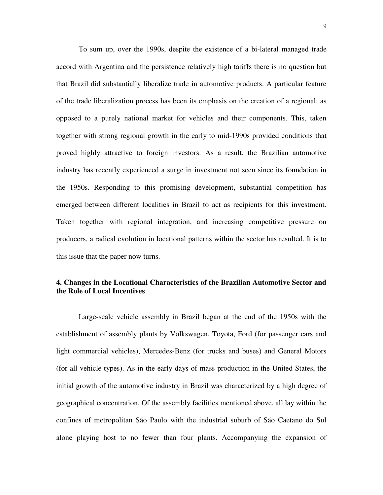To sum up, over the 1990s, despite the existence of a bi-lateral managed trade accord with Argentina and the persistence relatively high tariffs there is no question but that Brazil did substantially liberalize trade in automotive products. A particular feature of the trade liberalization process has been its emphasis on the creation of a regional, as opposed to a purely national market for vehicles and their components. This, taken together with strong regional growth in the early to mid-1990s provided conditions that proved highly attractive to foreign investors. As a result, the Brazilian automotive industry has recently experienced a surge in investment not seen since its foundation in the 1950s. Responding to this promising development, substantial competition has emerged between different localities in Brazil to act as recipients for this investment. Taken together with regional integration, and increasing competitive pressure on producers, a radical evolution in locational patterns within the sector has resulted. It is to this issue that the paper now turns.

# **4. Changes in the Locational Characteristics of the Brazilian Automotive Sector and the Role of Local Incentives**

 Large-scale vehicle assembly in Brazil began at the end of the 1950s with the establishment of assembly plants by Volkswagen, Toyota, Ford (for passenger cars and light commercial vehicles), Mercedes-Benz (for trucks and buses) and General Motors (for all vehicle types). As in the early days of mass production in the United States, the initial growth of the automotive industry in Brazil was characterized by a high degree of geographical concentration. Of the assembly facilities mentioned above, all lay within the confines of metropolitan São Paulo with the industrial suburb of São Caetano do Sul alone playing host to no fewer than four plants. Accompanying the expansion of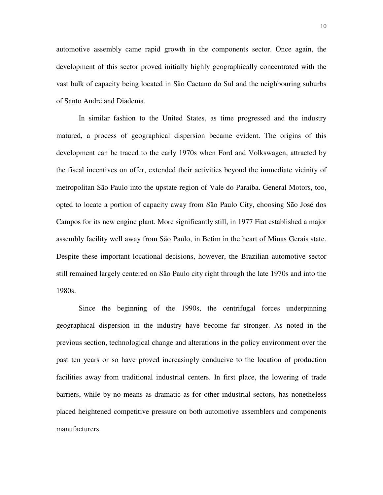automotive assembly came rapid growth in the components sector. Once again, the development of this sector proved initially highly geographically concentrated with the vast bulk of capacity being located in São Caetano do Sul and the neighbouring suburbs of Santo André and Diadema.

 In similar fashion to the United States, as time progressed and the industry matured, a process of geographical dispersion became evident. The origins of this development can be traced to the early 1970s when Ford and Volkswagen, attracted by the fiscal incentives on offer, extended their activities beyond the immediate vicinity of metropolitan São Paulo into the upstate region of Vale do Paraíba. General Motors, too, opted to locate a portion of capacity away from São Paulo City, choosing São José dos Campos for its new engine plant. More significantly still, in 1977 Fiat established a major assembly facility well away from São Paulo, in Betim in the heart of Minas Gerais state. Despite these important locational decisions, however, the Brazilian automotive sector still remained largely centered on São Paulo city right through the late 1970s and into the 1980s.

 Since the beginning of the 1990s, the centrifugal forces underpinning geographical dispersion in the industry have become far stronger. As noted in the previous section, technological change and alterations in the policy environment over the past ten years or so have proved increasingly conducive to the location of production facilities away from traditional industrial centers. In first place, the lowering of trade barriers, while by no means as dramatic as for other industrial sectors, has nonetheless placed heightened competitive pressure on both automotive assemblers and components manufacturers.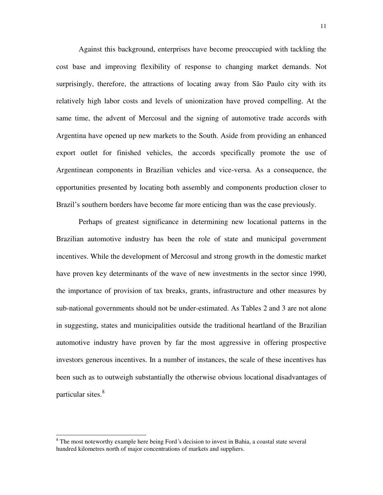Against this background, enterprises have become preoccupied with tackling the cost base and improving flexibility of response to changing market demands. Not surprisingly, therefore, the attractions of locating away from São Paulo city with its relatively high labor costs and levels of unionization have proved compelling. At the same time, the advent of Mercosul and the signing of automotive trade accords with Argentina have opened up new markets to the South. Aside from providing an enhanced export outlet for finished vehicles, the accords specifically promote the use of Argentinean components in Brazilian vehicles and vice-versa. As a consequence, the opportunities presented by locating both assembly and components production closer to Brazil's southern borders have become far more enticing than was the case previously.

 Perhaps of greatest significance in determining new locational patterns in the Brazilian automotive industry has been the role of state and municipal government incentives. While the development of Mercosul and strong growth in the domestic market have proven key determinants of the wave of new investments in the sector since 1990, the importance of provision of tax breaks, grants, infrastructure and other measures by sub-national governments should not be under-estimated. As Tables 2 and 3 are not alone in suggesting, states and municipalities outside the traditional heartland of the Brazilian automotive industry have proven by far the most aggressive in offering prospective investors generous incentives. In a number of instances, the scale of these incentives has been such as to outweigh substantially the otherwise obvious locational disadvantages of particular sites.<sup>8</sup>

l

<sup>&</sup>lt;sup>8</sup> The most noteworthy example here being Ford's decision to invest in Bahia, a coastal state several hundred kilometres north of major concentrations of markets and suppliers.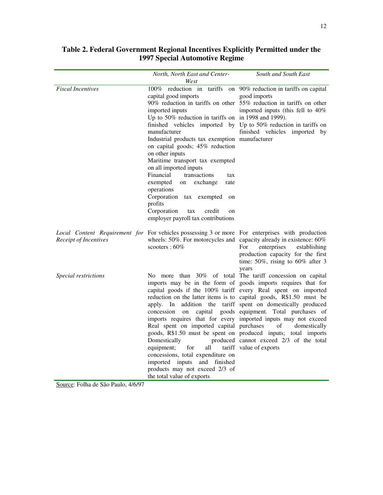|                          | North, North East and Center-                                                                                                                                                                                                                                                                                                                                                                                                                                                                      | South and South East                                                                                                                                                                                                                                                                                                                                                                                                                                                                                                                                                                            |
|--------------------------|----------------------------------------------------------------------------------------------------------------------------------------------------------------------------------------------------------------------------------------------------------------------------------------------------------------------------------------------------------------------------------------------------------------------------------------------------------------------------------------------------|-------------------------------------------------------------------------------------------------------------------------------------------------------------------------------------------------------------------------------------------------------------------------------------------------------------------------------------------------------------------------------------------------------------------------------------------------------------------------------------------------------------------------------------------------------------------------------------------------|
|                          | West                                                                                                                                                                                                                                                                                                                                                                                                                                                                                               |                                                                                                                                                                                                                                                                                                                                                                                                                                                                                                                                                                                                 |
| <b>Fiscal Incentives</b> | capital good imports<br>imported inputs<br>Up to 50% reduction in tariffs on in 1998 and 1999).<br>manufacturer<br>Industrial products tax exemption manufacturer<br>on capital goods; 45% reduction<br>on other inputs<br>Maritime transport tax exempted<br>on all imported inputs<br>Financial<br>transactions<br>tax<br>exempted<br>exchange<br>on<br>rate<br>operations<br>Corporation tax exempted on<br>profits<br>Corporation<br>tax<br>credit<br>on<br>employer payroll tax contributions | 100% reduction in tariffs on 90% reduction in tariffs on capital<br>good imports<br>90% reduction in tariffs on other 55% reduction in tariffs on other<br>imported inputs (this fell to 40%<br>finished vehicles imported by Up to 50% reduction in tariffs on<br>finished vehicles imported by                                                                                                                                                                                                                                                                                                |
| Receipt of Incentives    | Local Content Requirement for For vehicles possessing 3 or more For enterprises with production<br>scooters: 60%                                                                                                                                                                                                                                                                                                                                                                                   | wheels: 50%. For motorcycles and capacity already in existence: 60%<br>For<br>enterprises<br>establishing<br>production capacity for the first<br>time: $50\%$ , rising to $60\%$ after 3<br>years                                                                                                                                                                                                                                                                                                                                                                                              |
| Special restrictions     | apply. In<br>capital<br>concession<br>on<br>Real spent on imported capital purchases<br>Domestically<br>for<br>all<br>equipment;<br>concessions, total expenditure on<br>imported inputs<br>finished<br>and<br>products may not exceed 2/3 of<br>the total value of exports                                                                                                                                                                                                                        | No more than 30% of total The tariff concession on capital<br>imports may be in the form of goods imports requires that for<br>capital goods if the 100% tariff every Real spent on imported<br>reduction on the latter items is to capital goods, R\$1.50 must be<br>addition the tariff spent on domestically produced<br>goods equipment. Total purchases of<br>imports requires that for every imported inputs may not exceed<br>of<br>domestically<br>goods, R\$1.50 must be spent on produced inputs; total imports<br>produced cannot exceed 2/3 of the total<br>tariff value of exports |

# **Table 2. Federal Government Regional Incentives Explicitly Permitted under the 1997 Special Automotive Regime**

Source: Folha de São Paulo, 4/6/97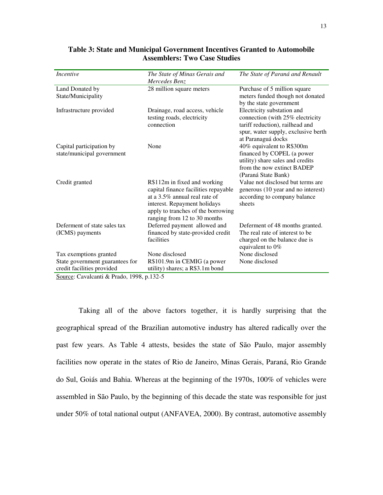| Incentive                                                                                                                                                                                                   | The State of Minas Gerais and        | The State of Paraná and Renault     |
|-------------------------------------------------------------------------------------------------------------------------------------------------------------------------------------------------------------|--------------------------------------|-------------------------------------|
|                                                                                                                                                                                                             | Mercedes Benz                        |                                     |
| Land Donated by                                                                                                                                                                                             | 28 million square meters             | Purchase of 5 million square        |
| State/Municipality                                                                                                                                                                                          |                                      | meters funded though not donated    |
|                                                                                                                                                                                                             |                                      | by the state government             |
| Infrastructure provided                                                                                                                                                                                     | Drainage, road access, vehicle       | Electricity substation and          |
|                                                                                                                                                                                                             | testing roads, electricity           | connection (with 25% electricity    |
|                                                                                                                                                                                                             | connection                           | tariff reduction), railhead and     |
|                                                                                                                                                                                                             |                                      | spur, water supply, exclusive berth |
|                                                                                                                                                                                                             |                                      | at Paranaguá docks                  |
| Capital participation by                                                                                                                                                                                    | None                                 | 40% equivalent to R\$300m           |
| state/municipal government                                                                                                                                                                                  |                                      | financed by COPEL (a power          |
|                                                                                                                                                                                                             |                                      | utility) share sales and credits    |
|                                                                                                                                                                                                             |                                      | from the now extinct BADEP          |
|                                                                                                                                                                                                             |                                      | (Paraná State Bank)                 |
| Credit granted                                                                                                                                                                                              | R\$112m in fixed and working         | Value not disclosed but terms are   |
|                                                                                                                                                                                                             | capital finance facilities repayable | generous (10 year and no interest)  |
|                                                                                                                                                                                                             | at a 3.5% annual real rate of        | according to company balance        |
|                                                                                                                                                                                                             | interest. Repayment holidays         | sheets                              |
|                                                                                                                                                                                                             | apply to tranches of the borrowing   |                                     |
|                                                                                                                                                                                                             | ranging from 12 to 30 months         |                                     |
| Deferment of state sales tax                                                                                                                                                                                | Deferred payment allowed and         | Deferment of 48 months granted.     |
| (ICMS) payments                                                                                                                                                                                             | financed by state-provided credit    | The real rate of interest to be.    |
|                                                                                                                                                                                                             | facilities                           | charged on the balance due is       |
|                                                                                                                                                                                                             |                                      | equivalent to $0\%$                 |
| Tax exemptions granted                                                                                                                                                                                      | None disclosed                       | None disclosed                      |
| State government guarantees for                                                                                                                                                                             | R\$101.9m in CEMIG (a power          | None disclosed                      |
| credit facilities provided                                                                                                                                                                                  | utility) shares; a R\$3.1m bond      |                                     |
| $S_{\text{oumon}}$ $C_{\text{ouoplon}}$ $\downarrow$ $\theta$ $\downarrow$ $D_{\text{rod}}$ $\uparrow$ $\downarrow$ $\uparrow$ $\uparrow$ $\uparrow$ $\uparrow$ $\uparrow$ $\uparrow$ $\uparrow$ $\uparrow$ |                                      |                                     |

## **Table 3: State and Municipal Government Incentives Granted to Automobile Assemblers: Two Case Studies**

Source: Cavalcanti & Prado, 1998, p.132-5

 Taking all of the above factors together, it is hardly surprising that the geographical spread of the Brazilian automotive industry has altered radically over the past few years. As Table 4 attests, besides the state of São Paulo, major assembly facilities now operate in the states of Rio de Janeiro, Minas Gerais, Paraná, Rio Grande do Sul, Goiás and Bahia. Whereas at the beginning of the 1970s, 100% of vehicles were assembled in São Paulo, by the beginning of this decade the state was responsible for just under 50% of total national output (ANFAVEA, 2000). By contrast, automotive assembly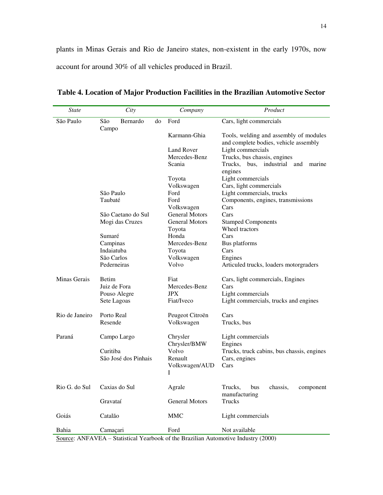plants in Minas Gerais and Rio de Janeiro states, non-existent in the early 1970s, now account for around 30% of all vehicles produced in Brazil.

| <b>State</b>                | City                           | Company               | Product                                                                         |
|-----------------------------|--------------------------------|-----------------------|---------------------------------------------------------------------------------|
| São Paulo                   | São<br>Bernardo<br>do<br>Campo | Ford                  | Cars, light commercials                                                         |
|                             |                                | Karmann-Ghia          | Tools, welding and assembly of modules<br>and complete bodies, vehicle assembly |
|                             |                                | Land Rover            | Light commercials                                                               |
|                             |                                | Mercedes-Benz         | Trucks, bus chassis, engines                                                    |
|                             |                                | Scania                | Trucks,<br>bus, industrial and<br>marine<br>engines                             |
|                             |                                | Toyota                | Light commercials                                                               |
|                             |                                | Volkswagen            | Cars, light commercials                                                         |
|                             | São Paulo                      | Ford                  | Light commercials, trucks                                                       |
|                             | Taubaté                        | Ford                  | Components, engines, transmissions                                              |
|                             |                                | Volkswagen            | Cars                                                                            |
|                             | São Caetano do Sul             | General Motors        | Cars                                                                            |
|                             | Mogi das Cruzes                | <b>General Motors</b> | <b>Stamped Components</b>                                                       |
|                             |                                | Toyota                | Wheel tractors                                                                  |
|                             | Sumaré                         | Honda                 | Cars                                                                            |
|                             | Campinas                       | Mercedes-Benz         | Bus platforms                                                                   |
|                             | Indaiatuba                     | Toyota                | Cars                                                                            |
|                             | São Carlos                     | Volkswagen            | Engines                                                                         |
|                             | Pederneiras                    | Volvo                 | Articuled trucks, loaders motorgraders                                          |
| Minas Gerais                | Betim                          | Fiat                  | Cars, light commercials, Engines                                                |
|                             | Juiz de Fora                   | Mercedes-Benz         | Cars                                                                            |
|                             | Pouso Alegre                   | <b>JPX</b>            | Light commercials                                                               |
|                             | Sete Lagoas                    | Fiat/Iveco            | Light commercials, trucks and engines                                           |
| Rio de Janeiro              | Porto Real                     | Peugeot Citroën       | Cars                                                                            |
|                             | Resende                        | Volkswagen            | Trucks, bus                                                                     |
| Paraná                      | Campo Largo                    | Chrysler              | Light commercials                                                               |
|                             |                                | Chrysler/BMW          | Engines                                                                         |
|                             | Curitiba                       | Volvo                 | Trucks, truck cabins, bus chassis, engines                                      |
|                             | São José dos Pinhais           | Renault               | Cars, engines                                                                   |
|                             |                                | Volkswagen/AUD<br>I   | Cars                                                                            |
| Rio G. do Sul Caxias do Sul |                                | Agrale                | Trucks, bus chassis, component<br>manufacturing                                 |
|                             | Gravataí                       | <b>General Motors</b> | Trucks                                                                          |
| Goiás                       | Catalão                        | <b>MMC</b>            | Light commercials                                                               |
| Bahia                       | Camaçari                       | Ford                  | Not available                                                                   |

**Table 4. Location of Major Production Facilities in the Brazilian Automotive Sector** 

Source: ANFAVEA – Statistical Yearbook of the Brazilian Automotive Industry (2000)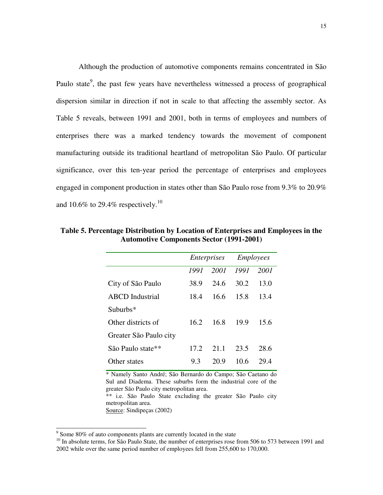Although the production of automotive components remains concentrated in São Paulo state<sup>9</sup>, the past few years have nevertheless witnessed a process of geographical dispersion similar in direction if not in scale to that affecting the assembly sector. As Table 5 reveals, between 1991 and 2001, both in terms of employees and numbers of enterprises there was a marked tendency towards the movement of component manufacturing outside its traditional heartland of metropolitan São Paulo. Of particular significance, over this ten-year period the percentage of enterprises and employees engaged in component production in states other than São Paulo rose from 9.3% to 20.9% and 10.6% to 29.4% respectively.<sup>10</sup>

|                        | Enterprises |      | <i>Employees</i> |      |
|------------------------|-------------|------|------------------|------|
|                        | 1991        | 2001 | 1991             | 2001 |
| City of São Paulo      | 38.9        | 24.6 | 30.2             | 13.0 |
| <b>ABCD</b> Industrial | 18.4        | 16.6 | 15.8             | 13.4 |
| $Suburbs*$             |             |      |                  |      |
| Other districts of     | 16.2        | 16.8 | 19.9             | 15.6 |
| Greater São Paulo city |             |      |                  |      |
| São Paulo state**      | 17.2.       | 21.1 | 23.5             | 28.6 |
| Other states           | 9.3         | 20.9 | 10.6             | 29.4 |

**Table 5. Percentage Distribution by Location of Enterprises and Employees in the Automotive Components Sector (1991-2001)** 

\* Namely Santo André; São Bernardo do Campo; São Caetano do Sul and Diadema. These suburbs form the industrial core of the greater São Paulo city metropolitan area. \*\* i.e. São Paulo State excluding the greater São Paulo city metropolitan area. Source: Sindipeças (2002)

<sup>&</sup>lt;sup>9</sup> Some 80% of auto components plants are currently located in the state

<sup>&</sup>lt;sup>10</sup> In absolute terms, for São Paulo State, the number of enterprises rose from 506 to 573 between 1991 and 2002 while over the same period number of employees fell from 255,600 to 170,000.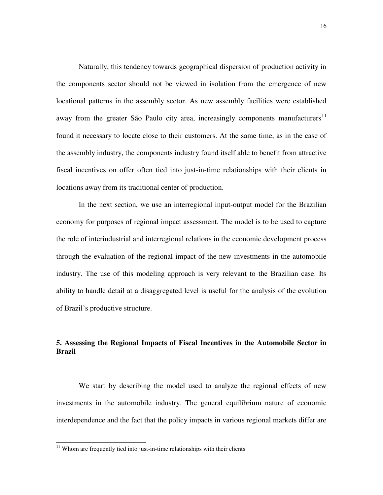Naturally, this tendency towards geographical dispersion of production activity in the components sector should not be viewed in isolation from the emergence of new locational patterns in the assembly sector. As new assembly facilities were established away from the greater São Paulo city area, increasingly components manufacturers<sup>11</sup> found it necessary to locate close to their customers. At the same time, as in the case of the assembly industry, the components industry found itself able to benefit from attractive fiscal incentives on offer often tied into just-in-time relationships with their clients in locations away from its traditional center of production.

 In the next section, we use an interregional input-output model for the Brazilian economy for purposes of regional impact assessment. The model is to be used to capture the role of interindustrial and interregional relations in the economic development process through the evaluation of the regional impact of the new investments in the automobile industry. The use of this modeling approach is very relevant to the Brazilian case. Its ability to handle detail at a disaggregated level is useful for the analysis of the evolution of Brazil's productive structure.

# **5. Assessing the Regional Impacts of Fiscal Incentives in the Automobile Sector in Brazil**

 We start by describing the model used to analyze the regional effects of new investments in the automobile industry. The general equilibrium nature of economic interdependence and the fact that the policy impacts in various regional markets differ are

-

 $11$  Whom are frequently tied into just-in-time relationships with their clients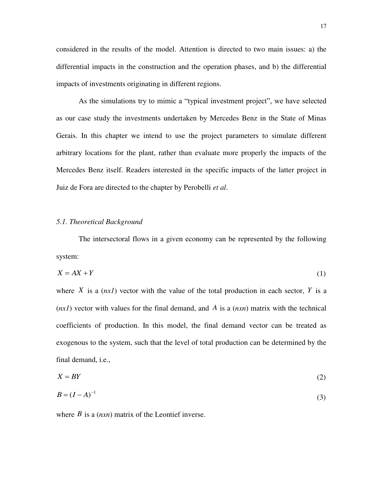considered in the results of the model. Attention is directed to two main issues: a) the differential impacts in the construction and the operation phases, and b) the differential impacts of investments originating in different regions.

 As the simulations try to mimic a "typical investment project", we have selected as our case study the investments undertaken by Mercedes Benz in the State of Minas Gerais. In this chapter we intend to use the project parameters to simulate different arbitrary locations for the plant, rather than evaluate more properly the impacts of the Mercedes Benz itself. Readers interested in the specific impacts of the latter project in Juiz de Fora are directed to the chapter by Perobelli *et al*.

#### *5.1. Theoretical Background*

 The intersectoral flows in a given economy can be represented by the following system:

$$
X = AX + Y \tag{1}
$$

where *X* is a  $(nxI)$  vector with the value of the total production in each sector, *Y* is a (*nx1*) vector with values for the final demand, and *A* is a (*nxn*) matrix with the technical coefficients of production. In this model, the final demand vector can be treated as exogenous to the system, such that the level of total production can be determined by the final demand, i.e.,

$$
X = BY \tag{2}
$$

$$
B = (I - A)^{-1} \tag{3}
$$

where *B* is a (*nxn*) matrix of the Leontief inverse.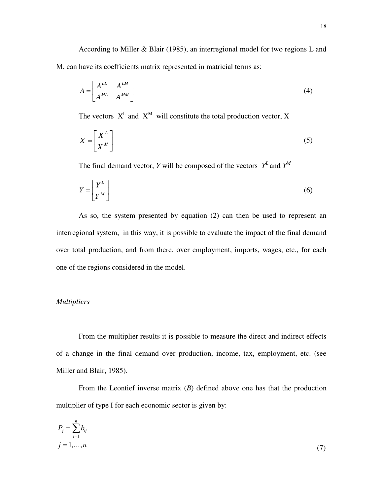According to Miller & Blair (1985), an interregional model for two regions L and M, can have its coefficients matrix represented in matricial terms as:

$$
A = \begin{bmatrix} A^{LL} & A^{LM} \\ A^{ML} & A^{MM} \end{bmatrix} \tag{4}
$$

The vectors  $X^L$  and  $X^M$  will constitute the total production vector, X

$$
X = \left[\begin{array}{c} X^{L} \\ X^{M} \end{array}\right] \tag{5}
$$

The final demand vector, *Y* will be composed of the vectors  $Y^L$  and  $Y^M$ 

$$
Y = \begin{bmatrix} Y^L \\ Y^M \end{bmatrix} \tag{6}
$$

 As so, the system presented by equation (2) can then be used to represent an interregional system, in this way, it is possible to evaluate the impact of the final demand over total production, and from there, over employment, imports, wages, etc., for each one of the regions considered in the model.

## *Multipliers*

 From the multiplier results it is possible to measure the direct and indirect effects of a change in the final demand over production, income, tax, employment, etc. (see Miller and Blair, 1985).

 From the Leontief inverse matrix (*B*) defined above one has that the production multiplier of type I for each economic sector is given by:

$$
P_j = \sum_{i=1}^n b_{ij}
$$
  

$$
j = 1, \dots, n
$$
 (7)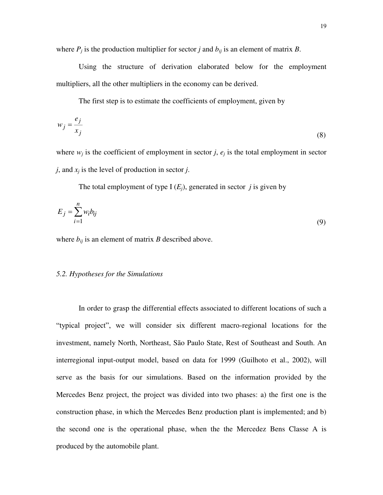where  $P_j$  is the production multiplier for sector *j* and  $b_{ij}$  is an element of matrix *B*.

 Using the structure of derivation elaborated below for the employment multipliers, all the other multipliers in the economy can be derived.

The first step is to estimate the coefficients of employment, given by

$$
w_j = \frac{e_j}{x_j} \tag{8}
$$

where  $w_j$  is the coefficient of employment in sector *j*,  $e_j$  is the total employment in sector *j*, and  $x_j$  is the level of production in sector *j*.

The total employment of type  $I(E_i)$ , generated in sector *j* is given by

$$
E_j = \sum_{i=1}^n w_i b_{ij}
$$
 (9)

where  $b_{ij}$  is an element of matrix *B* described above.

#### *5.2. Hypotheses for the Simulations*

 In order to grasp the differential effects associated to different locations of such a "typical project", we will consider six different macro-regional locations for the investment, namely North, Northeast, São Paulo State, Rest of Southeast and South. An interregional input-output model, based on data for 1999 (Guilhoto et al., 2002), will serve as the basis for our simulations. Based on the information provided by the Mercedes Benz project, the project was divided into two phases: a) the first one is the construction phase, in which the Mercedes Benz production plant is implemented; and b) the second one is the operational phase, when the the Mercedez Bens Classe A is produced by the automobile plant.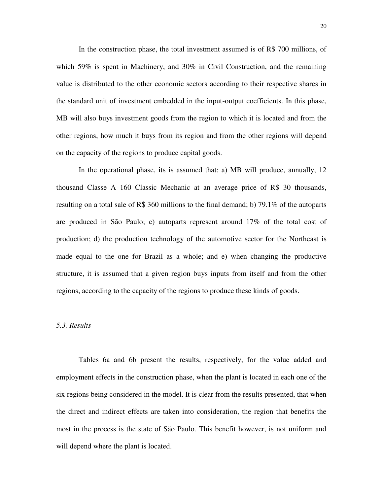In the construction phase, the total investment assumed is of R\$ 700 millions, of which 59% is spent in Machinery, and 30% in Civil Construction, and the remaining value is distributed to the other economic sectors according to their respective shares in the standard unit of investment embedded in the input-output coefficients. In this phase, MB will also buys investment goods from the region to which it is located and from the other regions, how much it buys from its region and from the other regions will depend on the capacity of the regions to produce capital goods.

 In the operational phase, its is assumed that: a) MB will produce, annually, 12 thousand Classe A 160 Classic Mechanic at an average price of R\$ 30 thousands, resulting on a total sale of R\$ 360 millions to the final demand; b) 79.1% of the autoparts are produced in São Paulo; c) autoparts represent around 17% of the total cost of production; d) the production technology of the automotive sector for the Northeast is made equal to the one for Brazil as a whole; and e) when changing the productive structure, it is assumed that a given region buys inputs from itself and from the other regions, according to the capacity of the regions to produce these kinds of goods.

#### *5.3. Results*

 Tables 6a and 6b present the results, respectively, for the value added and employment effects in the construction phase, when the plant is located in each one of the six regions being considered in the model. It is clear from the results presented, that when the direct and indirect effects are taken into consideration, the region that benefits the most in the process is the state of São Paulo. This benefit however, is not uniform and will depend where the plant is located.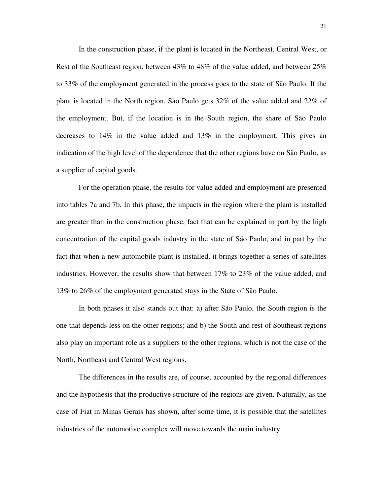In the construction phase, if the plant is located in the Northeast, Central West, or Rest of the Southeast region, between 43% to 48% of the value added, and between 25% to 33% of the employment generated in the process goes to the state of São Paulo. If the plant is located in the North region, São Paulo gets 32% of the value added and 22% of the employment. But, if the location is in the South region, the share of São Paulo decreases to 14% in the value added and 13% in the employment. This gives an indication of the high level of the dependence that the other regions have on São Paulo, as a supplier of capital goods.

 For the operation phase, the results for value added and employment are presented into tables 7a and 7b. In this phase, the impacts in the region where the plant is installed are greater than in the construction phase, fact that can be explained in part by the high concentration of the capital goods industry in the state of São Paulo, and in part by the fact that when a new automobile plant is installed, it brings together a series of satellites industries. However, the results show that between 17% to 23% of the value added, and 13% to 26% of the employment generated stays in the State of São Paulo.

 In both phases it also stands out that: a) after São Paulo, the South region is the one that depends less on the other regions; and b) the South and rest of Southeast regions also play an important role as a suppliers to the other regions, which is not the case of the North, Northeast and Central West regions.

 The differences in the results are, of course, accounted by the regional differences and the hypothesis that the productive structure of the regions are given. Naturally, as the case of Fiat in Minas Gerais has shown, after some time, it is possible that the satellites industries of the automotive complex will move towards the main industry.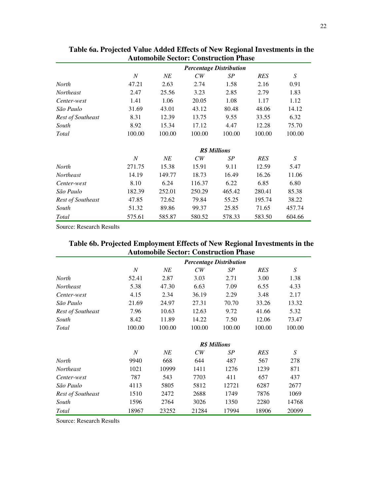|                          | <b>Percentage Distribution</b> |        |        |        |            |                  |  |  |
|--------------------------|--------------------------------|--------|--------|--------|------------|------------------|--|--|
|                          | $\boldsymbol{N}$               | NE     | CW     | SP     | RES        | S                |  |  |
| <b>North</b>             | 47.21                          | 2.63   | 2.74   | 1.58   | 2.16       | 0.91             |  |  |
| <b>Northeast</b>         | 2.47                           | 25.56  | 3.23   | 2.85   | 2.79       | 1.83             |  |  |
| Center-west              | 1.41                           | 1.06   | 20.05  | 1.08   | 1.17       | 1.12             |  |  |
| São Paulo                | 31.69                          | 43.01  | 43.12  | 80.48  | 48.06      | 14.12            |  |  |
| <b>Rest of Southeast</b> | 8.31                           | 12.39  | 13.75  | 9.55   | 33.55      | 6.32             |  |  |
| South                    | 8.92                           | 15.34  | 17.12  | 4.47   | 12.28      | 75.70            |  |  |
| Total                    | 100.00                         | 100.00 | 100.00 | 100.00 | 100.00     | 100.00           |  |  |
|                          | <b>R\$</b> Millions            |        |        |        |            |                  |  |  |
|                          | $\boldsymbol{N}$               | NE     | CW     | SP     | <b>RES</b> | $\boldsymbol{S}$ |  |  |
| North                    | 271.75                         | 15.38  | 15.91  | 9.11   | 12.59      | 5.47             |  |  |
| <b>Northeast</b>         | 14.19                          | 149.77 | 18.73  | 16.49  | 16.26      | 11.06            |  |  |
| Center-west              | 8.10                           | 6.24   | 116.37 | 6.22   | 6.85       | 6.80             |  |  |
| São Paulo                | 182.39                         | 252.01 | 250.29 | 465.42 | 280.41     | 85.38            |  |  |
| <b>Rest of Southeast</b> | 47.85                          | 72.62  | 79.84  | 55.25  | 195.74     | 38.22            |  |  |
| South                    | 51.32                          | 89.86  | 99.37  | 25.85  | 71.65      | 457.74           |  |  |
| Total                    | 575.61                         | 585.87 | 580.52 | 578.33 | 583.50     | 604.66           |  |  |

**Table 6a. Projected Value Added Effects of New Regional Investments in the Automobile Sector: Construction Phase**  ÷,

Source: Research Results

| Table 6b. Projected Employment Effects of New Regional Investments in the |
|---------------------------------------------------------------------------|
| <b>Automobile Sector: Construction Phase</b>                              |
|                                                                           |

|                          | <b>Percentage Distribution</b> |        |        |        |            |        |  |  |
|--------------------------|--------------------------------|--------|--------|--------|------------|--------|--|--|
|                          | $\boldsymbol{N}$               | NE     | CW     | SP     | <b>RES</b> | S      |  |  |
| <b>North</b>             | 52.41                          | 2.87   | 3.03   | 2.71   | 3.00       | 1.38   |  |  |
| <b>Northeast</b>         | 5.38                           | 47.30  | 6.63   | 7.09   | 6.55       | 4.33   |  |  |
| Center-west              | 4.15                           | 2.34   | 36.19  | 2.29   | 3.48       | 2.17   |  |  |
| São Paulo                | 21.69                          | 24.97  | 27.31  | 70.70  | 33.26      | 13.32  |  |  |
| <b>Rest of Southeast</b> | 7.96                           | 10.63  | 12.63  | 9.72   | 41.66      | 5.32   |  |  |
| South                    | 8.42                           | 11.89  | 14.22  | 7.50   | 12.06      | 73.47  |  |  |
| Total                    | 100.00                         | 100.00 | 100.00 | 100.00 | 100.00     | 100.00 |  |  |
|                          | <b>R\$</b> Millions            |        |        |        |            |        |  |  |
|                          | $\boldsymbol{N}$               | NE     | CW     | SP     | <b>RES</b> | S      |  |  |
| <b>North</b>             | 9940                           | 668    | 644    | 487    | 567        | 278    |  |  |
| <b>Northeast</b>         | 1021                           | 10999  | 1411   | 1276   | 1239       | 871    |  |  |
| Center-west              | 787                            | 543    | 7703   | 411    | 657        | 437    |  |  |
| São Paulo                | 4113                           | 5805   | 5812   | 12721  | 6287       | 2677   |  |  |
| <b>Rest of Southeast</b> | 1510                           | 2472   | 2688   | 1749   | 7876       | 1069   |  |  |
| South                    | 1596                           | 2764   | 3026   | 1350   | 2280       | 14768  |  |  |
| Total                    | 18967                          | 23252  | 21284  | 17994  | 18906      | 20099  |  |  |

Source: Research Results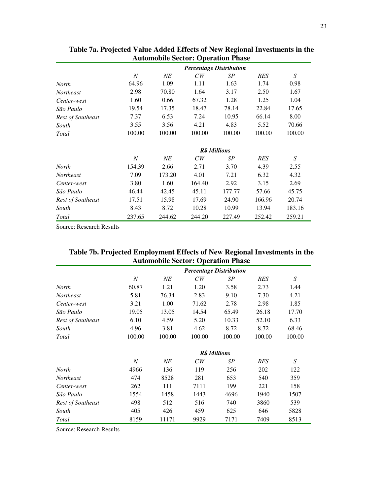|                   | <b>Percentage Distribution</b> |        |        |        |            |                  |  |
|-------------------|--------------------------------|--------|--------|--------|------------|------------------|--|
|                   | $\boldsymbol{N}$               | NE     | CW     | SP     | <b>RES</b> | S                |  |
| <b>North</b>      | 64.96                          | 1.09   | 1.11   | 1.63   | 1.74       | 0.98             |  |
| <b>Northeast</b>  | 2.98                           | 70.80  | 1.64   | 3.17   | 2.50       | 1.67             |  |
| Center-west       | 1.60                           | 0.66   | 67.32  | 1.28   | 1.25       | 1.04             |  |
| São Paulo         | 19.54                          | 17.35  | 18.47  | 78.14  | 22.84      | 17.65            |  |
| Rest of Southeast | 7.37                           | 6.53   | 7.24   | 10.95  | 66.14      | 8.00             |  |
| South             | 3.55                           | 3.56   | 4.21   | 4.83   | 5.52       | 70.66            |  |
| Total             | 100.00                         | 100.00 | 100.00 | 100.00 | 100.00     | 100.00           |  |
|                   | <b>R\$</b> Millions            |        |        |        |            |                  |  |
|                   | $\boldsymbol{N}$               | NE     | CW     | SP     | <b>RES</b> | $\boldsymbol{S}$ |  |
| North             | 154.39                         | 2.66   | 2.71   | 3.70   | 4.39       | 2.55             |  |
| <b>Northeast</b>  | 7.09                           | 173.20 | 4.01   | 7.21   | 6.32       | 4.32             |  |
| Center-west       | 3.80                           | 1.60   | 164.40 | 2.92   | 3.15       | 2.69             |  |
| São Paulo         | 46.44                          | 42.45  | 45.11  | 177.77 | 57.66      | 45.75            |  |
| Rest of Southeast | 17.51                          | 15.98  | 17.69  | 24.90  | 166.96     | 20.74            |  |
| South             | 8.43                           | 8.72   | 10.28  | 10.99  | 13.94      | 183.16           |  |
| Total             | 237.65                         | 244.62 | 244.20 | 227.49 | 252.42     | 259.21           |  |

**Table 7a. Projected Value Added Effects of New Regional Investments in the Automobile Sector: Operation Phase**  ÷,

Source: Research Results

| Tuble / b) Trojected Employment Enterto of Few Tregional Investments in the<br><b>Automobile Sector: Operation Phase</b> |                                |       |       |      |      |      |  |  |
|--------------------------------------------------------------------------------------------------------------------------|--------------------------------|-------|-------|------|------|------|--|--|
|                                                                                                                          | <b>Percentage Distribution</b> |       |       |      |      |      |  |  |
|                                                                                                                          | N                              | NE    | СW    | SР   | RES  |      |  |  |
| <b>North</b>                                                                                                             | 60.87                          | 1.21  | 1.20  | 3.58 | 2.73 | 1.44 |  |  |
| <i>Northeast</i>                                                                                                         | 5.81                           | 76.34 | 2.83  | 9.10 | 7.30 | 4.21 |  |  |
| Contor-wort                                                                                                              |                                | 1 N N | 71.62 | 2.78 | 2.98 | 1 85 |  |  |

| Table 7b. Projected Employment Effects of New Regional Investments in the |  |
|---------------------------------------------------------------------------|--|
| <b>Automobile Sector: Operation Phase</b>                                 |  |

| Center-west              | 3.21           | 1.00   | 71.62  | 2.78                | 2.98       | 1.85   |
|--------------------------|----------------|--------|--------|---------------------|------------|--------|
| São Paulo                | 19.05          | 13.05  | 14.54  | 65.49               | 26.18      | 17.70  |
| <b>Rest of Southeast</b> | 6.10           | 4.59   | 5.20   | 10.33               | 52.10      | 6.33   |
| South                    | 4.96           | 3.81   | 4.62   | 8.72                | 8.72       | 68.46  |
| Total                    | 100.00         | 100.00 | 100.00 | 100.00              | 100.00     | 100.00 |
|                          |                |        |        | <b>R\$</b> Millions |            |        |
|                          | $\overline{N}$ | NE     | CW     | SP                  | <b>RES</b> | S      |
| North                    | 4966           | 136    | 119    | 256                 | 202        | 122    |
| Northeast                | 474            | 8528   | 281    | 653                 | 540        | 359    |
| Center-west              | 262            | 111    | 7111   | 199                 | 221        | 158    |
| São Paulo                | 1554           | 1458   | 1443   | 4696                | 1940       | 1507   |
| <b>Rest of Southeast</b> | 498            | 512    | 516    | 740                 | 3860       | 539    |
| South                    | 405            | 426    | 459    | 625                 | 646        | 5828   |
| <b>Total</b>             | 8159           | 11171  | 9929   | 7171                | 7409       | 8513   |
|                          |                |        |        |                     |            |        |

Source: Research Results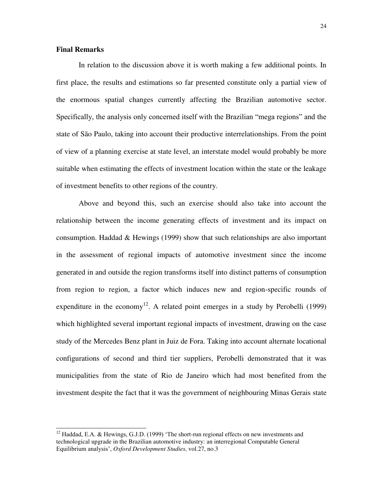## **Final Remarks**

-

In relation to the discussion above it is worth making a few additional points. In first place, the results and estimations so far presented constitute only a partial view of the enormous spatial changes currently affecting the Brazilian automotive sector. Specifically, the analysis only concerned itself with the Brazilian "mega regions" and the state of São Paulo, taking into account their productive interrelationships. From the point of view of a planning exercise at state level, an interstate model would probably be more suitable when estimating the effects of investment location within the state or the leakage of investment benefits to other regions of the country.

 Above and beyond this, such an exercise should also take into account the relationship between the income generating effects of investment and its impact on consumption. Haddad & Hewings (1999) show that such relationships are also important in the assessment of regional impacts of automotive investment since the income generated in and outside the region transforms itself into distinct patterns of consumption from region to region, a factor which induces new and region-specific rounds of expenditure in the economy<sup>12</sup>. A related point emerges in a study by Perobelli (1999) which highlighted several important regional impacts of investment, drawing on the case study of the Mercedes Benz plant in Juiz de Fora. Taking into account alternate locational configurations of second and third tier suppliers, Perobelli demonstrated that it was municipalities from the state of Rio de Janeiro which had most benefited from the investment despite the fact that it was the government of neighbouring Minas Gerais state

 $12$  Haddad, E.A. & Hewings, G.J.D. (1999) 'The short-run regional effects on new investments and technological upgrade in the Brazilian automotive industry: an interregional Computable General Equilibrium analysis', *Oxford Development Studies*, vol.27, no.3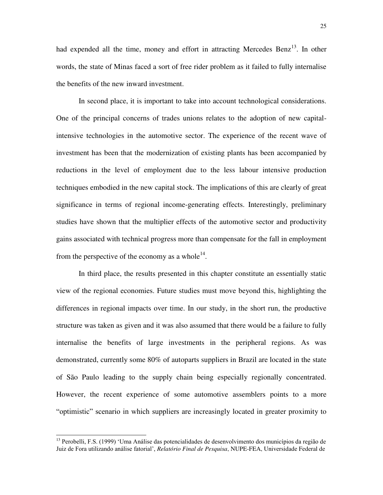had expended all the time, money and effort in attracting Mercedes Benz<sup>13</sup>. In other words, the state of Minas faced a sort of free rider problem as it failed to fully internalise the benefits of the new inward investment.

 In second place, it is important to take into account technological considerations. One of the principal concerns of trades unions relates to the adoption of new capitalintensive technologies in the automotive sector. The experience of the recent wave of investment has been that the modernization of existing plants has been accompanied by reductions in the level of employment due to the less labour intensive production techniques embodied in the new capital stock. The implications of this are clearly of great significance in terms of regional income-generating effects. Interestingly, preliminary studies have shown that the multiplier effects of the automotive sector and productivity gains associated with technical progress more than compensate for the fall in employment from the perspective of the economy as a whole<sup>14</sup>.

 In third place, the results presented in this chapter constitute an essentially static view of the regional economies. Future studies must move beyond this, highlighting the differences in regional impacts over time. In our study, in the short run, the productive structure was taken as given and it was also assumed that there would be a failure to fully internalise the benefits of large investments in the peripheral regions. As was demonstrated, currently some 80% of autoparts suppliers in Brazil are located in the state of São Paulo leading to the supply chain being especially regionally concentrated. However, the recent experience of some automotive assemblers points to a more "optimistic" scenario in which suppliers are increasingly located in greater proximity to

l

<sup>&</sup>lt;sup>13</sup> Perobelli, F.S. (1999) 'Uma Análise das potencialidades de desenvolvimento dos municípios da região de Juiz de Fora utilizando análise fatorial', *Relatório Final de Pesquisa*, NUPE-FEA, Universidade Federal de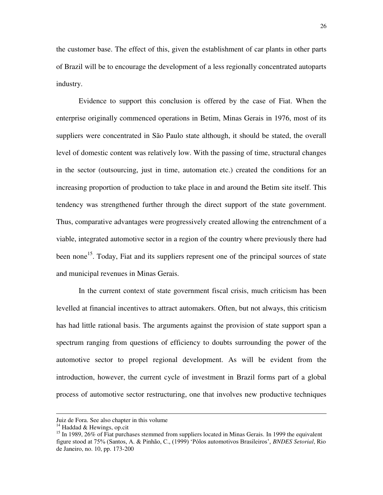the customer base. The effect of this, given the establishment of car plants in other parts of Brazil will be to encourage the development of a less regionally concentrated autoparts industry.

 Evidence to support this conclusion is offered by the case of Fiat. When the enterprise originally commenced operations in Betim, Minas Gerais in 1976, most of its suppliers were concentrated in São Paulo state although, it should be stated, the overall level of domestic content was relatively low. With the passing of time, structural changes in the sector (outsourcing, just in time, automation etc.) created the conditions for an increasing proportion of production to take place in and around the Betim site itself. This tendency was strengthened further through the direct support of the state government. Thus, comparative advantages were progressively created allowing the entrenchment of a viable, integrated automotive sector in a region of the country where previously there had been none<sup>15</sup>. Today, Fiat and its suppliers represent one of the principal sources of state and municipal revenues in Minas Gerais.

 In the current context of state government fiscal crisis, much criticism has been levelled at financial incentives to attract automakers. Often, but not always, this criticism has had little rational basis. The arguments against the provision of state support span a spectrum ranging from questions of efficiency to doubts surrounding the power of the automotive sector to propel regional development. As will be evident from the introduction, however, the current cycle of investment in Brazil forms part of a global process of automotive sector restructuring, one that involves new productive techniques

l

Juiz de Fora. See also chapter in this volume

 $14$  Haddad & Hewings, op.cit

 $15$  In 1989, 26% of Fiat purchases stemmed from suppliers located in Minas Gerais. In 1999 the equivalent figure stood at 75% (Santos, A. & Pinhão, C., (1999) 'Pólos automotivos Brasileiros', *BNDES Setorial*, Rio de Janeiro, no. 10, pp. 173-200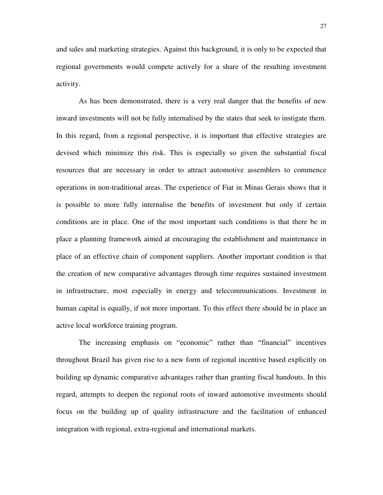and sales and marketing strategies. Against this background, it is only to be expected that regional governments would compete actively for a share of the resulting investment activity.

 As has been demonstrated, there is a very real danger that the benefits of new inward investments will not be fully internalised by the states that seek to instigate them. In this regard, from a regional perspective, it is important that effective strategies are devised which minimize this risk. This is especially so given the substantial fiscal resources that are necessary in order to attract automotive assemblers to commence operations in non-traditional areas. The experience of Fiat in Minas Gerais shows that it is possible to more fully internalise the benefits of investment but only if certain conditions are in place. One of the most important such conditions is that there be in place a planning framework aimed at encouraging the establishment and maintenance in place of an effective chain of component suppliers. Another important condition is that the creation of new comparative advantages through time requires sustained investment in infrastructure, most especially in energy and telecommunications. Investment in human capital is equally, if not more important. To this effect there should be in place an active local workforce training program.

The increasing emphasis on "economic" rather than "financial" incentives throughout Brazil has given rise to a new form of regional incentive based explicitly on building up dynamic comparative advantages rather than granting fiscal handouts. In this regard, attempts to deepen the regional roots of inward automotive investments should focus on the building up of quality infrastructure and the facilitation of enhanced integration with regional, extra-regional and international markets.